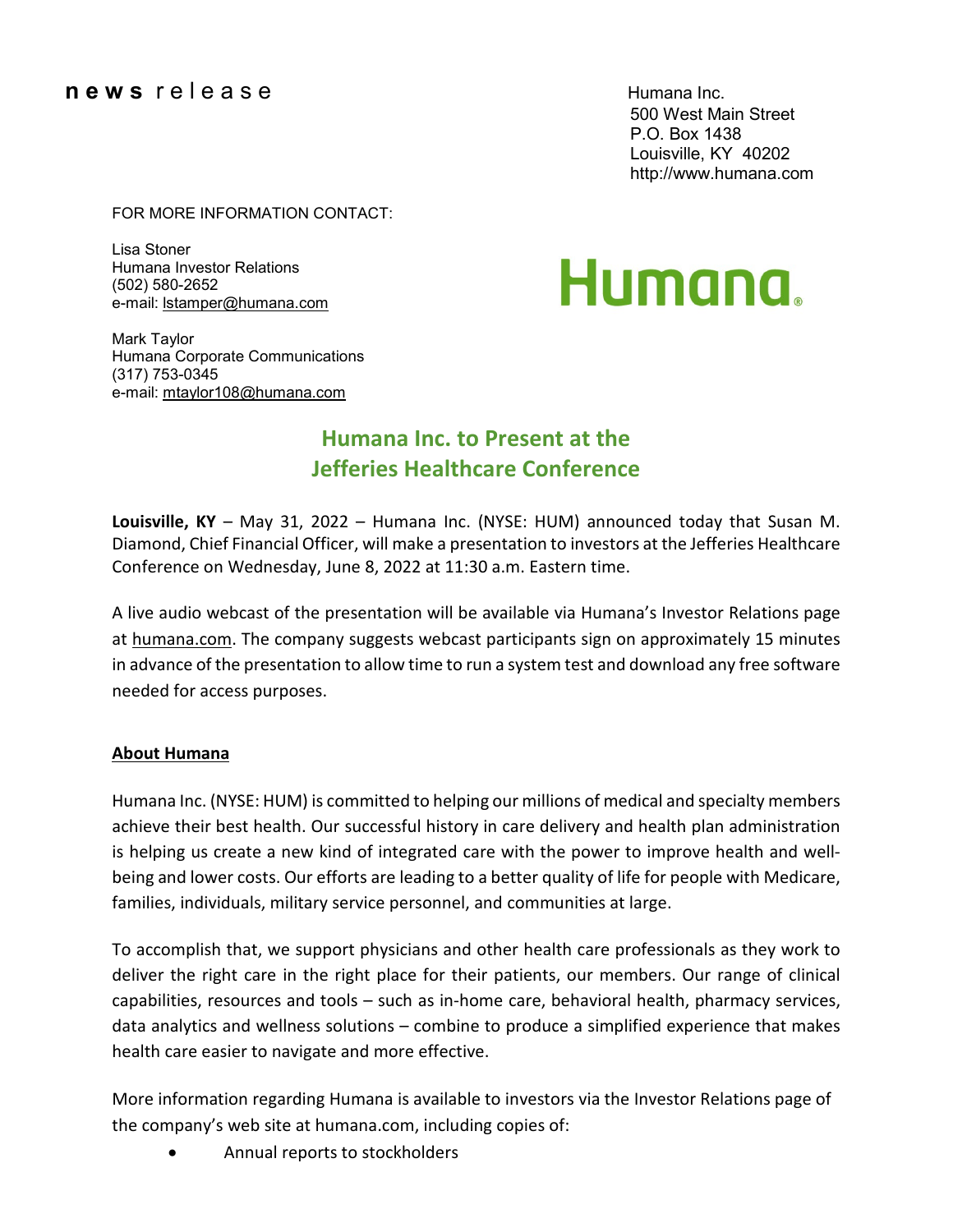### **n e w s** r e l e a s e Humana Inc.

500 West Main Street P.O. Box 1438 Louisville, KY 40202 [http://www.humana.com](http://www.humana.com/)

### FOR MORE INFORMATION CONTACT:

Lisa Stoner Humana Investor Relations (502) 580-2652 e-mail: [lstamper@humana.com](mailto:lstamper@humana.com)

# Humana.

Mark Taylor Humana Corporate Communications (317) 753-0345 e-mail: [mtaylor108@humana.com](mailto:mtaylor108@humana.com)

## **Humana Inc. to Present at the Jefferies Healthcare Conference**

**Louisville, KY** – May 31, 2022 – Humana Inc. (NYSE: HUM) announced today that Susan M. Diamond, Chief Financial Officer, will make a presentation to investors at the Jefferies Healthcare Conference on Wednesday, June 8, 2022 at 11:30 a.m. Eastern time.

A live audio webcast of the presentation will be available via Humana's Investor Relations page at [humana.com.](http://www.humana.com/) The company suggests webcast participants sign on approximately 15 minutes in advance of the presentation to allow time to run a system test and download any free software needed for access purposes.

### **About Humana**

Humana Inc. (NYSE: HUM) is committed to helping our millions of medical and specialty members achieve their best health. Our successful history in care delivery and health plan administration is helping us create a new kind of integrated care with the power to improve health and wellbeing and lower costs. Our efforts are leading to a better quality of life for people with Medicare, families, individuals, military service personnel, and communities at large.

To accomplish that, we support physicians and other health care professionals as they work to deliver the right care in the right place for their patients, our members. Our range of clinical capabilities, resources and tools – such as in-home care, behavioral health, pharmacy services, data analytics and wellness solutions – combine to produce a simplified experience that makes health care easier to navigate and more effective.

More information regarding Humana is available to investors via the Investor Relations page of the company's web site at [humana.com,](http://www.humana.com/) including copies of:

• Annual reports to stockholders